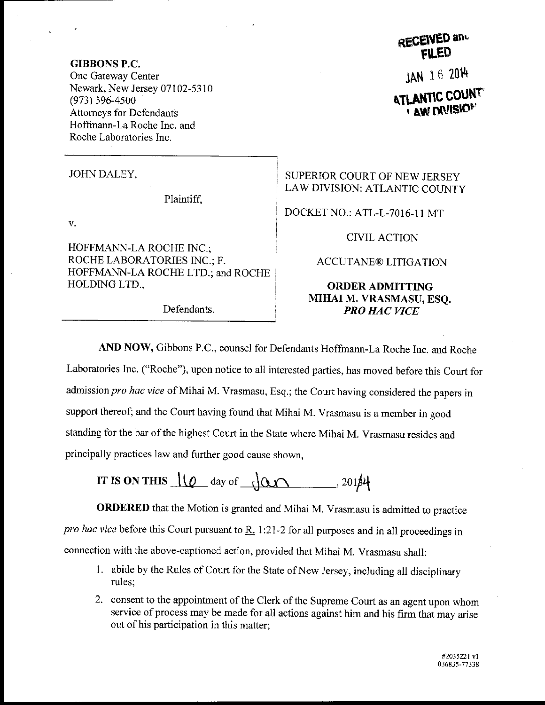GIBBONS P.C. One Gateway Center Newark, New Jersey 07102-5310 (973) 596-4s00 Attomeys for Defendants Hoffmann-La Roche Inc. and Roche Laboratories Inc.

JOHN DALEY,

Plaintiff,

 $V$ .

HOFFMANN-LA ROCHE INC.; ROCHE LABORATORIES INC.; F. HOFFMANN-LA ROCHE LTD.: and ROCHE HOLDING LTD.,

RECEIVED and

jAN 16 <sup>2014</sup>

**ATLANTIC COUNT ' AW DIVISIO<sup>N</sup>** 

## SUPERIOR COURT OF NEW JERSEY LAW DIVISION: ATLANTIC COUNTY

DOCKET NO.: ATL-L-7O16-11 MT

CIVILACTION

ACCUTANE@ LITIGATION

## ORDERADMITTING MIHAI M. VRASMASU, ESQ. Defendants. **PRO HAC VICE**

AND NOW, Gibbons P.C., counsel for Defendants Hoffmann-La Roche Inc. and Roche Laboratories Inc. ("Roche"), upon notice to all interested parties, has moved before this Court for admission pro hac vice of Mihai M. Vrasmasu, Esq.; the Court having considered the papers in support thereof; and the Court having found that Mihai M. Vrasmasu is a member in good standing for the bar of the highest court in the state where Mihai M. vrasmasu resides and principally practices law and further good cause shown,

IT IS ON THIS  $\frac{1}{\varphi}$  day of  $\frac{1}{\varphi}$  , 201/4

ORDERED that the Motion is granted and Mihai M. vrasmasu is admitted to practice pro hac vice before this Court pursuant to  $\underline{R}$ . 1:21-2 for all purposes and in all proceedings in connection with the above-captioned action, provided that Mihai M. Vrasmasu shall:

- <sup>1</sup>. abide by the Rules of court for the State of New Jersey, including all disciplinary rules;
- 2. consent to the appointment of the Clerk of the Supreme Court as an agent upon whom service of process may be made for all actions against him and his firm that may arise out of his participation in this matter;